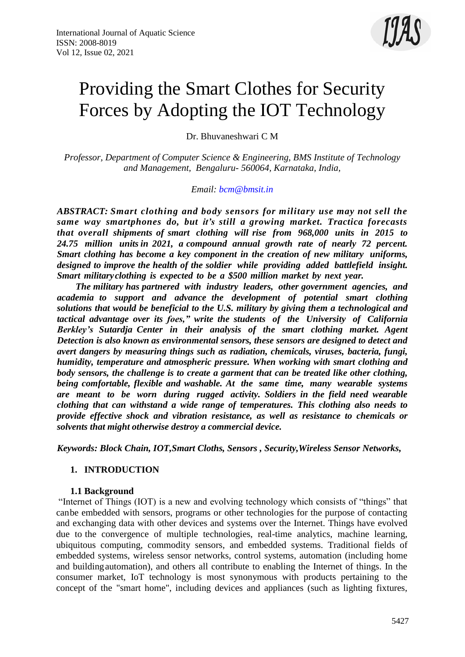

# Providing the Smart Clothes for Security Forces by Adopting the IOT Technology

Dr. Bhuvaneshwari C M

*Professor, Department of Computer Science & Engineering, BMS Institute of Technology and Management, Bengaluru- 560064, Karnataka, India,*

*Email: [bcm@bmsit.in](mailto:bcm@bmsit.in)*

*ABSTRACT: Smart clothing and body sensors for military use may not sell the same way smartphones do, but it's still a growing market. Tractica forecasts that overall shipments of smart clothing will rise from 968,000 units in 2015 to 24.75 million units in 2021, a compound annual growth rate of nearly 72 percent. Smart clothing has become a key component in the creation of new military uniforms, designed to improve the health of the soldier while providing added battlefield insight. Smart militaryclothing is expected to be a \$500 million market by next year.*

 *The military has partnered with industry leaders, other government agencies, and academia to support and advance the development of potential smart clothing solutions that would be beneficial to the U.S. military by giving them a technological and tactical advantage over its foes," write the students of the University of California Berkley's Sutardja Center in their analysis of the smart clothing market. Agent Detection is also known as environmental sensors, these sensors are designed to detect and avert dangers by measuring things such as radiation, chemicals, viruses, bacteria, fungi, humidity, temperature and atmospheric pressure. When working with smart clothing and body sensors, the challenge is to create a garment that can be treated like other clothing, being comfortable, flexible and washable. At the same time, many wearable systems are meant to be worn during rugged activity. Soldiers in the field need wearable clothing that can withstand a wide range of temperatures. This clothing also needs to provide effective shock and vibration resistance, as well as resistance to chemicals or solvents that might otherwise destroy a commercial device.*

*Keywords: Block Chain, IOT,Smart Cloths, Sensors , Security,Wireless Sensor Networks,*

#### **1. INTRODUCTION**

#### **1.1 Background**

"Internet of Things (IOT) is a new and evolving technology which consists of "things" that canbe embedded with sensors, programs or other technologies for the purpose of contacting and exchanging data with other devices and systems over the Internet. Things have evolved due to the convergence of multiple technologies, real-time analytics, machine learning, ubiquitous computing, commodity sensors, and embedded systems. Traditional fields of embedded systems, wireless sensor networks, control systems, automation (including home and buildingautomation), and others all contribute to enabling the Internet of things. In the consumer market, IoT technology is most synonymous with products pertaining to the concept of the "smart home", including devices and appliances (such as lighting fixtures,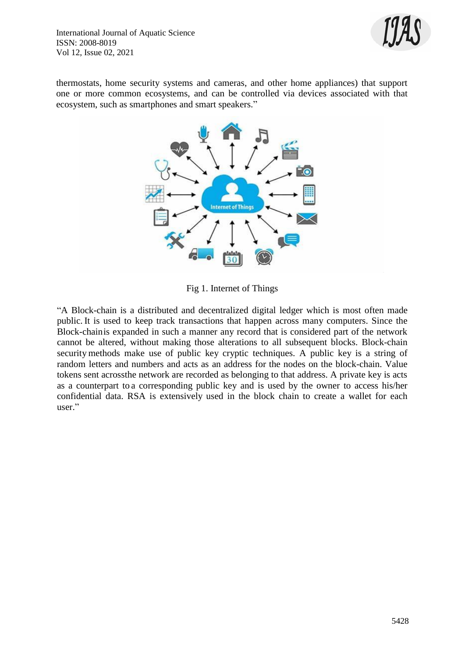

thermostats, home security systems and cameras, and other home appliances) that support one or more common ecosystems, and can be controlled via devices associated with that ecosystem, such as smartphones and smart speakers."



Fig 1. Internet of Things

"A Block-chain is a distributed and decentralized digital ledger which is most often made public. It is used to keep track transactions that happen across many computers. Since the Block-chainis expanded in such a manner any record that is considered part of the network cannot be altered, without making those alterations to all subsequent blocks. Block-chain security methods make use of public key cryptic techniques. A public key is a string of random letters and numbers and acts as an address for the nodes on the block-chain. Value tokens sent acrossthe network are recorded as belonging to that address. A private key is acts as a counterpart to a corresponding public key and is used by the owner to access his/her confidential data. RSA is extensively used in the block chain to create a wallet for each user."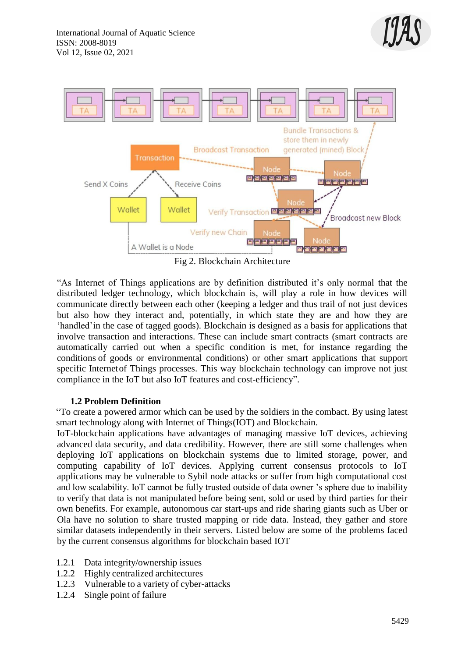



Fig 2. Blockchain Architecture

"As Internet of Things applications are by definition distributed it's only normal that the distributed ledger technology, which blockchain is, will play a role in how devices will communicate directly between each other (keeping a ledger and thus trail of not just devices but also how they interact and, potentially, in which state they are and how they are 'handled'in the case of tagged goods). Blockchain is designed as a basis for applications that involve transaction and interactions. These can include smart contracts (smart contracts are automatically carried out when a specific condition is met, for instance regarding the conditions of goods or environmental conditions) or other smart applications that support specific Internetof Things processes. This way blockchain technology can improve not just compliance in the IoT but also IoT features and cost-efficiency".

## **1.2 Problem Definition**

"To create a powered armor which can be used by the soldiers in the combact. By using latest smart technology along with Internet of Things(IOT) and Blockchain.

IoT-blockchain applications have advantages of managing massive IoT devices, achieving advanced data security, and data credibility. However, there are still some challenges when deploying IoT applications on blockchain systems due to limited storage, power, and computing capability of IoT devices. Applying current consensus protocols to IoT applications may be vulnerable to Sybil node attacks or suffer from high computational cost and low scalability. IoT cannot be fully trusted outside of data owner 's sphere due to inability to verify that data is not manipulated before being sent, sold or used by third parties for their own benefits. For example, autonomous car start-ups and ride sharing giants such as Uber or Ola have no solution to share trusted mapping or ride data. Instead, they gather and store similar datasets independently in their servers. Listed below are some of the problems faced by the current consensus algorithms for blockchain based IOT

- 1.2.1 Data integrity/ownership issues
- 1.2.2 Highly centralized architectures
- 1.2.3 Vulnerable to a variety of cyber-attacks
- 1.2.4 Single point of failure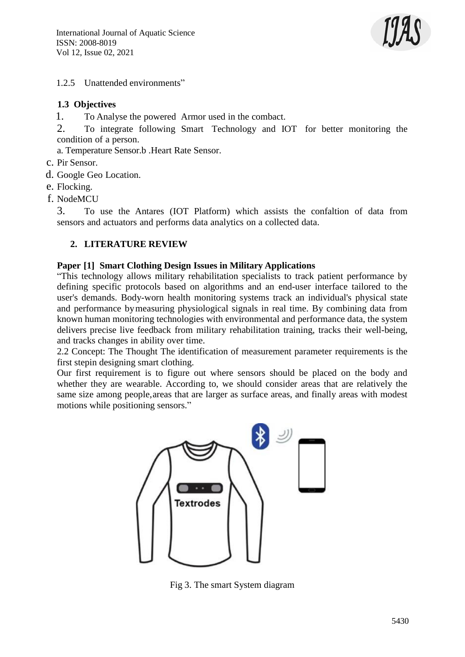

## 1.2.5 Unattended environments"

## **1.3 Objectives**

1. To Analyse the powered Armor used in the combact.

2. To integrate following Smart Technology and IOT for better monitoring the condition of a person.

a. Temperature Sensor.b .Heart Rate Sensor.

- c. Pir Sensor.
- d. Google Geo Location.
- e. Flocking.
- f. NodeMCU

3. To use the Antares (IOT Platform) which assists the confaltion of data from sensors and actuators and performs data analytics on a collected data.

## **2. LITERATURE REVIEW**

#### **Paper [1] Smart Clothing Design Issues in Military Applications**

"This technology allows military rehabilitation specialists to track patient performance by defining specific protocols based on algorithms and an end-user interface tailored to the user's demands. Body-worn health monitoring systems track an individual's physical state and performance bymeasuring physiological signals in real time. By combining data from known human monitoring technologies with environmental and performance data, the system delivers precise live feedback from military rehabilitation training, tracks their well-being, and tracks changes in ability over time.

2.2 Concept: The Thought The identification of measurement parameter requirements is the first stepin designing smart clothing.

Our first requirement is to figure out where sensors should be placed on the body and whether they are wearable. According to, we should consider areas that are relatively the same size among people,areas that are larger as surface areas, and finally areas with modest motions while positioning sensors."



Fig 3. The smart System diagram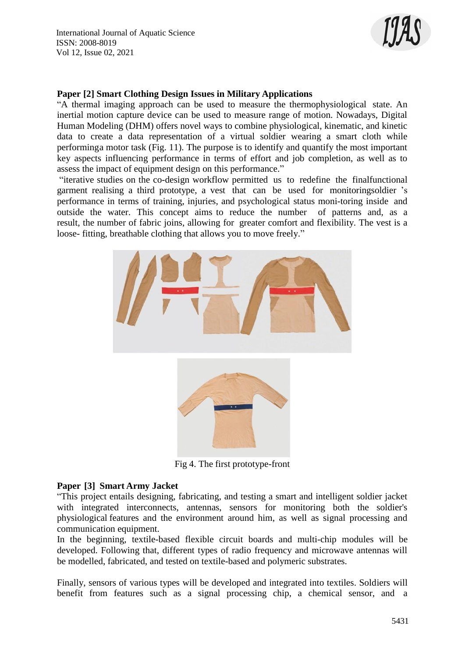International Journal of Aquatic Science ISSN: 2008-8019 Vol 12, Issue 02, 2021



#### **Paper [2] Smart Clothing Design Issues in Military Applications**

"A thermal imaging approach can be used to measure the thermophysiological state. An inertial motion capture device can be used to measure range of motion. Nowadays, Digital Human Modeling (DHM) offers novel ways to combine physiological, kinematic, and kinetic data to create a data representation of a virtual soldier wearing a smart cloth while performinga motor task (Fig. 11). The purpose is to identify and quantify the most important key aspects influencing performance in terms of effort and job completion, as well as to assess the impact of equipment design on this performance."

"iterative studies on the co-design workflow permitted us to redefine the finalfunctional garment realising a third prototype, a vest that can be used for monitoringsoldier 's performance in terms of training, injuries, and psychological status moni-toring inside and outside the water. This concept aims to reduce the number of patterns and, as a result, the number of fabric joins, allowing for greater comfort and flexibility. The vest is a loose- fitting, breathable clothing that allows you to move freely."



Fig 4. The first prototype-front

#### **Paper [3] Smart Army Jacket**

"This project entails designing, fabricating, and testing a smart and intelligent soldier jacket with integrated interconnects, antennas, sensors for monitoring both the soldier's physiological features and the environment around him, as well as signal processing and communication equipment.

In the beginning, textile-based flexible circuit boards and multi-chip modules will be developed. Following that, different types of radio frequency and microwave antennas will be modelled, fabricated, and tested on textile-based and polymeric substrates.

Finally, sensors of various types will be developed and integrated into textiles. Soldiers will benefit from features such as a signal processing chip, a chemical sensor, and a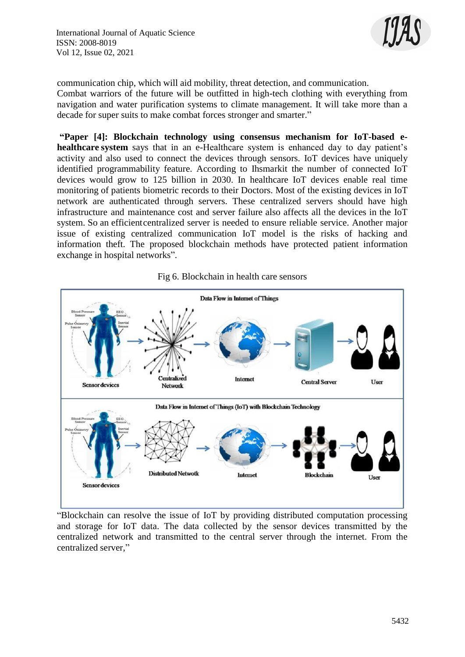International Journal of Aquatic Science ISSN: 2008-8019 Vol 12, Issue 02, 2021



communication chip, which will aid mobility, threat detection, and communication. Combat warriors of the future will be outfitted in high-tech clothing with everything from navigation and water purification systems to climate management. It will take more than a decade for super suits to make combat forces stronger and smarter."

**"Paper [4]: Blockchain technology using consensus mechanism for IoT-based ehealthcare system** says that in an e-Healthcare system is enhanced day to day patient's activity and also used to connect the devices through sensors. IoT devices have uniquely identified programmability feature. According to Ihsmarkit the number of connected IoT devices would grow to 125 billion in 2030. In healthcare IoT devices enable real time monitoring of patients biometric records to their Doctors. Most of the existing devices in IoT network are authenticated through servers. These centralized servers should have high infrastructure and maintenance cost and server failure also affects all the devices in the IoT system. So an efficientcentralized server is needed to ensure reliable service. Another major issue of existing centralized communication IoT model is the risks of hacking and information theft. The proposed blockchain methods have protected patient information exchange in hospital networks".





"Blockchain can resolve the issue of IoT by providing distributed computation processing and storage for IoT data. The data collected by the sensor devices transmitted by the centralized network and transmitted to the central server through the internet. From the centralized server,"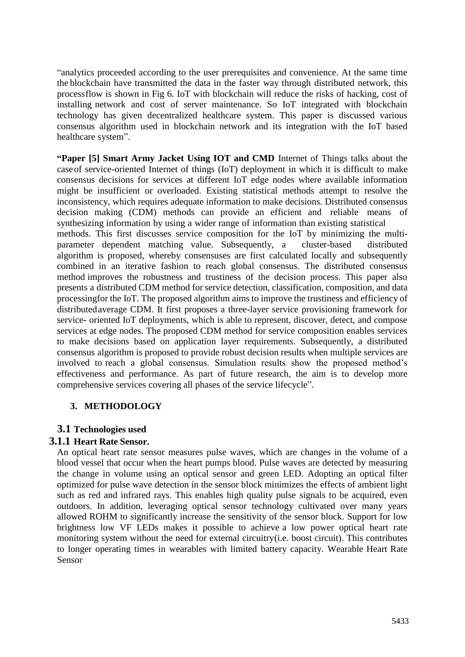"analytics proceeded according to the user prerequisites and convenience. At the same time the blockchain have transmitted the data in the faster way through distributed network, this processflow is shown in Fig 6. IoT with blockchain will reduce the risks of hacking, cost of installing network and cost of server maintenance. So IoT integrated with blockchain technology has given decentralized healthcare system. This paper is discussed various consensus algorithm used in blockchain network and its integration with the IoT based healthcare system".

**"Paper [5] Smart Army Jacket Using IOT and CMD** Internet of Things talks about the caseof service-oriented Internet of things (IoT) deployment in which it is difficult to make consensus decisions for services at different IoT edge nodes where available information might be insufficient or overloaded. Existing statistical methods attempt to resolve the inconsistency, which requires adequate information to make decisions. Distributed consensus decision making (CDM) methods can provide an efficient and reliable means of synthesizing information by using a wider range of information than existing statistical methods. This first discusses service composition for the IoT by minimizing the multiparameter dependent matching value. Subsequently, a cluster-based distributed algorithm is proposed, whereby consensuses are first calculated locally and subsequently combined in an iterative fashion to reach global consensus. The distributed consensus method improves the robustness and trustiness of the decision process. This paper also presents a distributed CDM method for service detection, classification, composition, and data processingfor the IoT. The proposed algorithm aims to improve the trustiness and efficiency of distributedaverage CDM. It first proposes a three-layer service provisioning framework for service- oriented IoT deployments, which is able to represent, discover, detect, and compose services at edge nodes. The proposed CDM method for service composition enables services to make decisions based on application layer requirements. Subsequently, a distributed consensus algorithm is proposed to provide robust decision results when multiple services are involved to reach a global consensus. Simulation results show the proposed method's effectiveness and performance. As part of future research, the aim is to develop more comprehensive services covering all phases of the service lifecycle".

## **3. METHODOLOGY**

## **3.1 Technologies used**

## **3.1.1 Heart Rate Sensor.**

An optical heart rate sensor measures pulse waves, which are changes in the volume of a blood vessel that occur when the heart pumps blood. Pulse waves are detected by measuring the change in volume using an optical sensor and green LED. Adopting an optical filter optimized for pulse wave detection in the sensor block minimizes the effects of ambient light such as red and infrared rays. This enables high quality pulse signals to be acquired, even outdoors. In addition, leveraging optical sensor technology cultivated over many years allowed ROHM to significantly increase the sensitivity of the sensor block. Support for low brightness low VF LEDs makes it possible to achieve a low power optical heart rate monitoring system without the need for external circuitry(i.e. boost circuit). This contributes to longer operating times in wearables with limited battery capacity. Wearable Heart Rate Sensor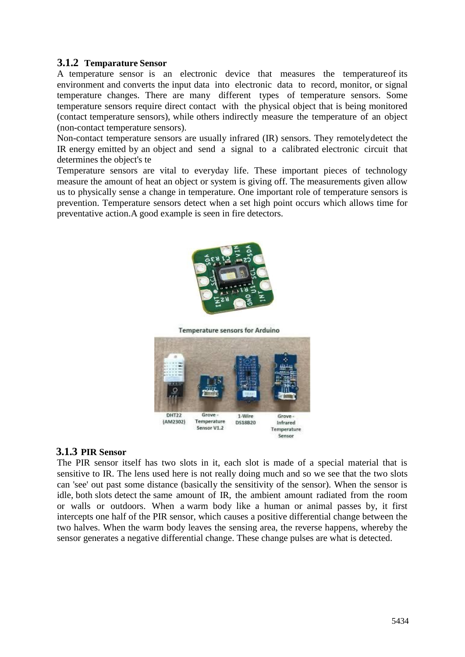#### **3.1.2 Temparature Sensor**

A temperature sensor is an electronic device that measures the temperatureof its environment and converts the input data into electronic data to record, monitor, or signal temperature changes. There are many different types of temperature sensors. Some temperature sensors require direct contact with the physical object that is being monitored (contact temperature sensors), while others indirectly measure the temperature of an object (non-contact temperature sensors).

Non-contact temperature sensors are usually infrared (IR) sensors. They remotelydetect the IR energy emitted by an object and send a signal to a calibrated electronic circuit that determines the object's te

Temperature sensors are vital to everyday life. These important pieces of technology measure the amount of heat an object or system is giving off. The measurements given allow us to physically sense a change in temperature. One important role of temperature sensors is prevention. Temperature sensors detect when a set high point occurs which allows time for preventative action.A good example is seen in fire detectors.



**Temperature sensors for Arduino** 



#### **3.1.3 PIR Sensor**

The PIR sensor itself has two slots in it, each slot is made of a special material that is sensitive to IR. The lens used here is not really doing much and so we see that the two slots can 'see' out past some distance (basically the sensitivity of the sensor). When the sensor is idle, both slots detect the same amount of IR, the ambient amount radiated from the room or walls or outdoors. When a warm body like a human or animal passes by, it first intercepts one half of the PIR sensor, which causes a positive differential change between the two halves. When the warm body leaves the sensing area, the reverse happens, whereby the sensor generates a negative differential change. These change pulses are what is detected.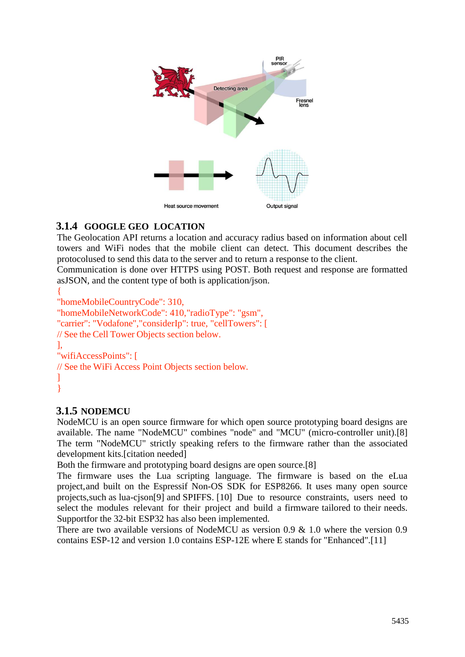

# **3.1.4 GOOGLE GEO LOCATION**

The Geolocation API returns a location and accuracy radius based on information about cell towers and WiFi nodes that the mobile client can detect. This document describes the protocolused to send this data to the server and to return a response to the client.

Communication is done over HTTPS using POST. Both request and response are formatted asJSON, and the content type of both is application/json.

```
{
"homeMobileCountryCode": 310,
"homeMobileNetworkCode": 410,"radioType": "gsm",
"carrier": "Vodafone","considerIp": true, "cellTowers": [
// See the Cell Tower Objects section below.
],
"wifiAccessPoints": [
// See the WiFi Access Point Objects section below.
]
}
```
# **3.1.5 NODEMCU**

NodeMCU is an open source firmware for which open source prototyping board designs are available. The name "NodeMCU" combines "node" and "MCU" (micro-controller unit).[8] The term "NodeMCU" strictly speaking refers to the firmware rather than the associated development kits.[citation needed]

Both the firmware and prototyping board designs are open source.[8]

The firmware uses the Lua scripting language. The firmware is based on the eLua project,and built on the Espressif Non-OS SDK for ESP8266. It uses many open source projects,such as lua-cjson[9] and SPIFFS. [10] Due to resource constraints, users need to select the modules relevant for their project and build a firmware tailored to their needs. Supportfor the 32-bit ESP32 has also been implemented.

There are two available versions of NodeMCU as version 0.9 & 1.0 where the version 0.9 contains ESP-12 and version 1.0 contains ESP-12E where E stands for "Enhanced".[11]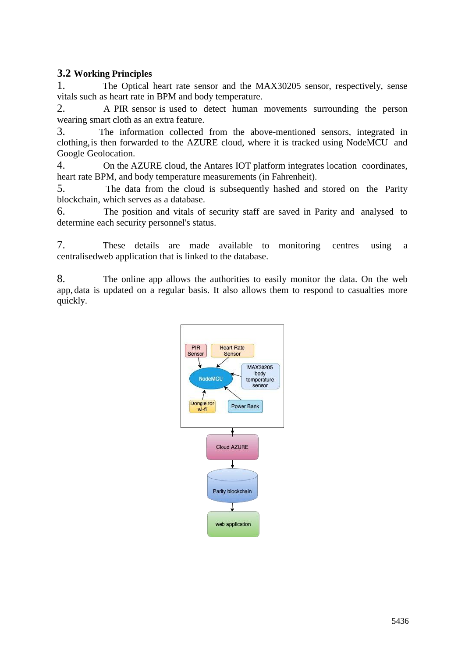## **3.2 Working Principles**

1. The Optical heart rate sensor and the MAX30205 sensor, respectively, sense vitals such as heart rate in BPM and body temperature.

2. A PIR sensor is used to detect human movements surrounding the person wearing smart cloth as an extra feature.

3. The information collected from the above-mentioned sensors, integrated in clothing,is then forwarded to the AZURE cloud, where it is tracked using NodeMCU and Google Geolocation.

4. On the AZURE cloud, the Antares IOT platform integrates location coordinates, heart rate BPM, and body temperature measurements (in Fahrenheit).

5. The data from the cloud is subsequently hashed and stored on the Parity blockchain, which serves as a database.

6. The position and vitals of security staff are saved in Parity and analysed to determine each security personnel's status.

7. These details are made available to monitoring centres using a centralisedweb application that is linked to the database.

8. The online app allows the authorities to easily monitor the data. On the web app, data is updated on a regular basis. It also allows them to respond to casualties more quickly.

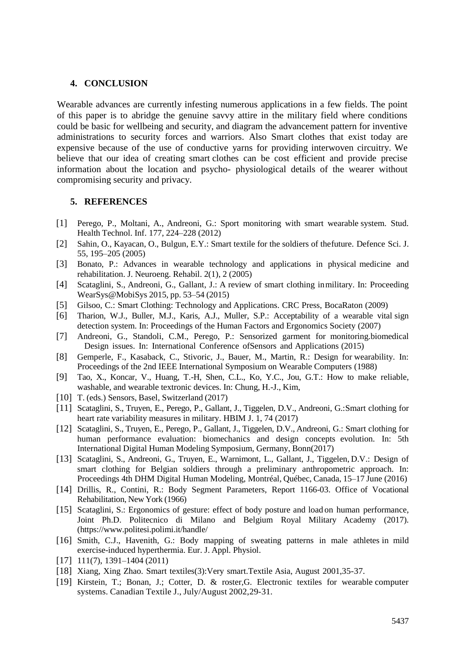#### **4. CONCLUSION**

Wearable advances are currently infesting numerous applications in a few fields. The point of this paper is to abridge the genuine savvy attire in the military field where conditions could be basic for wellbeing and security, and diagram the advancement pattern for inventive administrations to security forces and warriors. Also Smart clothes that exist today are expensive because of the use of conductive yarns for providing interwoven circuitry. We believe that our idea of creating smart clothes can be cost efficient and provide precise information about the location and psycho- physiological details of the wearer without compromising security and privacy.

#### **5. REFERENCES**

- [1] Perego, P., Moltani, A., Andreoni, G.: Sport monitoring with smart wearable system. Stud. Health Technol. Inf. 177, 224–228 (2012)
- [2] Sahin, O., Kayacan, O., Bulgun, E.Y.: Smart textile for the soldiers of thefuture. Defence Sci. J. 55, 195–205 (2005)
- [3] Bonato, P.: Advances in wearable technology and applications in physical medicine and rehabilitation. J. Neuroeng. Rehabil. 2(1), 2 (2005)
- [4] Scataglini, S., Andreoni, G., Gallant, J.: A review of smart clothing inmilitary. In: Proceeding WearSys@MobiSys 2015, pp. 53–54 (2015)
- [5] Gilsoo, C.: Smart Clothing: Technology and Applications. CRC Press, BocaRaton (2009)
- [6] Tharion, W.J., Buller, M.J., Karis, A.J., Muller, S.P.: Acceptability of a wearable vital sign detection system. In: Proceedings of the Human Factors and Ergonomics Society (2007)
- [7] Andreoni, G., Standoli, C.M., Perego, P.: Sensorized garment for monitoring.biomedical Design issues. In: International Conference ofSensors and Applications (2015)
- [8] Gemperle, F., Kasaback, C., Stivoric, J., Bauer, M., Martin, R.: Design for wearability. In: Proceedings of the 2nd IEEE International Symposium on Wearable Computers (1988)
- [9] Tao, X., Koncar, V., Huang, T.-H, Shen, C.L., Ko, Y.C., Jou, G.T.: How to make reliable, washable, and wearable textronic devices. In: Chung, H.-J., Kim,
- [10] T. (eds.) Sensors, Basel, Switzerland (2017)
- [11] Scataglini, S., Truyen, E., Perego, P., Gallant, J., Tiggelen, D.V., Andreoni, G.: Smart clothing for heart rate variability measures in military. HBIM J. 1, 74 (2017)
- [12] Scataglini, S., Truyen, E., Perego, P., Gallant, J., Tiggelen, D.V., Andreoni, G.: Smart clothing for human performance evaluation: biomechanics and design concepts evolution. In: 5th International Digital Human Modeling Symposium, Germany, Bonn(2017)
- [13] Scataglini, S., Andreoni, G., Truyen, E., Warnimont, L., Gallant, J., Tiggelen, D.V.: Design of smart clothing for Belgian soldiers through a preliminary anthropometric approach. In: Proceedings 4th DHM Digital Human Modeling, Montréal, Québec, Canada, 15–17 June (2016)
- [14] Drillis, R., Contini, R.: Body Segment Parameters, Report 1166-03. Office of Vocational Rehabilitation, New York (1966)
- [15] Scataglini, S.: Ergonomics of gesture: effect of body posture and load on human performance, Joint Ph.D. Politecnico di Milano and Belgium Royal Military Academy (2017). (https:/[/www.politesi.polimi.it/handle/](about:blank)
- [16] Smith, C.J., Havenith, G.: Body mapping of sweating patterns in male athletes in mild exercise-induced hyperthermia. Eur. J. Appl. Physiol.
- [17] 111(7), 1391–1404 (2011)
- [18] Xiang, Xing Zhao. Smart textiles(3):Very smart.Textile Asia, August 2001,35-37.
- [19] Kirstein, T.; Bonan, J.; Cotter, D. & roster,G. Electronic textiles for wearable computer systems. Canadian Textile J., July/August 2002,29-31.